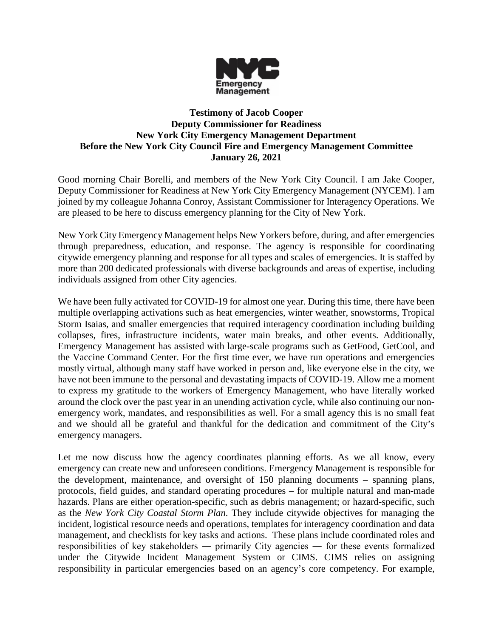

## **Testimony of Jacob Cooper Deputy Commissioner for Readiness New York City Emergency Management Department Before the New York City Council Fire and Emergency Management Committee January 26, 2021**

Good morning Chair Borelli, and members of the New York City Council. I am Jake Cooper, Deputy Commissioner for Readiness at New York City Emergency Management (NYCEM). I am joined by my colleague Johanna Conroy, Assistant Commissioner for Interagency Operations. We are pleased to be here to discuss emergency planning for the City of New York.

New York City Emergency Management helps New Yorkers before, during, and after emergencies through preparedness, education, and response. The agency is responsible for coordinating citywide emergency planning and response for all types and scales of emergencies. It is staffed by more than 200 dedicated professionals with diverse backgrounds and areas of expertise, including individuals assigned from other City agencies.

We have been fully activated for COVID-19 for almost one year. During this time, there have been multiple overlapping activations such as heat emergencies, winter weather, snowstorms, Tropical Storm Isaias, and smaller emergencies that required interagency coordination including building collapses, fires, infrastructure incidents, water main breaks, and other events. Additionally, Emergency Management has assisted with large-scale programs such as GetFood, GetCool, and the Vaccine Command Center. For the first time ever, we have run operations and emergencies mostly virtual, although many staff have worked in person and, like everyone else in the city, we have not been immune to the personal and devastating impacts of COVID-19. Allow me a moment to express my gratitude to the workers of Emergency Management, who have literally worked around the clock over the past year in an unending activation cycle, while also continuing our nonemergency work, mandates, and responsibilities as well. For a small agency this is no small feat and we should all be grateful and thankful for the dedication and commitment of the City's emergency managers.

Let me now discuss how the agency coordinates planning efforts. As we all know, every emergency can create new and unforeseen conditions. Emergency Management is responsible for the development, maintenance, and oversight of 150 planning documents – spanning plans, protocols, field guides, and standard operating procedures – for multiple natural and man-made hazards. Plans are either operation-specific, such as debris management; or hazard-specific, such as the *New York City Coastal Storm Plan*. They include citywide objectives for managing the incident, logistical resource needs and operations, templates for interagency coordination and data management, and checklists for key tasks and actions. These plans include coordinated roles and responsibilities of key stakeholders ― primarily City agencies ― for these events formalized under the Citywide Incident Management System or CIMS. CIMS relies on assigning responsibility in particular emergencies based on an agency's core competency. For example,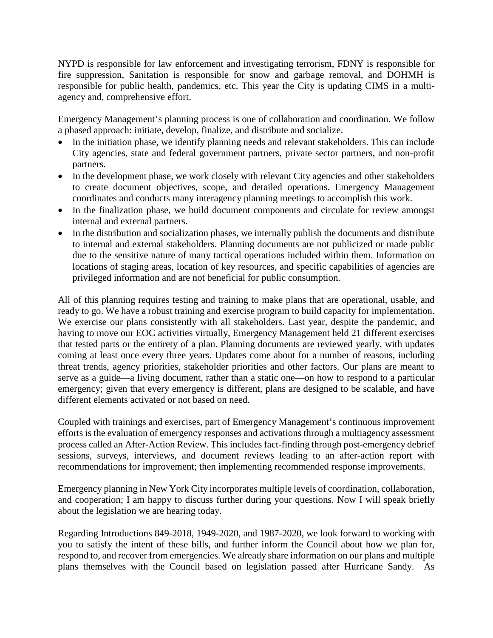NYPD is responsible for law enforcement and investigating terrorism, FDNY is responsible for fire suppression, Sanitation is responsible for snow and garbage removal, and DOHMH is responsible for public health, pandemics, etc. This year the City is updating CIMS in a multiagency and, comprehensive effort.

Emergency Management's planning process is one of collaboration and coordination. We follow a phased approach: initiate, develop, finalize, and distribute and socialize.

- In the initiation phase, we identify planning needs and relevant stakeholders. This can include City agencies, state and federal government partners, private sector partners, and non-profit partners.
- In the development phase, we work closely with relevant City agencies and other stakeholders to create document objectives, scope, and detailed operations. Emergency Management coordinates and conducts many interagency planning meetings to accomplish this work.
- In the finalization phase, we build document components and circulate for review amongst internal and external partners.
- In the distribution and socialization phases, we internally publish the documents and distribute to internal and external stakeholders. Planning documents are not publicized or made public due to the sensitive nature of many tactical operations included within them. Information on locations of staging areas, location of key resources, and specific capabilities of agencies are privileged information and are not beneficial for public consumption.

All of this planning requires testing and training to make plans that are operational, usable, and ready to go. We have a robust training and exercise program to build capacity for implementation. We exercise our plans consistently with all stakeholders. Last year, despite the pandemic, and having to move our EOC activities virtually, Emergency Management held 21 different exercises that tested parts or the entirety of a plan. Planning documents are reviewed yearly, with updates coming at least once every three years. Updates come about for a number of reasons, including threat trends, agency priorities, stakeholder priorities and other factors. Our plans are meant to serve as a guide—a living document, rather than a static one—on how to respond to a particular emergency; given that every emergency is different, plans are designed to be scalable, and have different elements activated or not based on need.

Coupled with trainings and exercises, part of Emergency Management's continuous improvement efforts is the evaluation of emergency responses and activations through a multiagency assessment process called an After-Action Review. This includes fact-finding through post-emergency debrief sessions, surveys, interviews, and document reviews leading to an after-action report with recommendations for improvement; then implementing recommended response improvements.

Emergency planning in New York City incorporates multiple levels of coordination, collaboration, and cooperation; I am happy to discuss further during your questions. Now I will speak briefly about the legislation we are hearing today.

Regarding Introductions 849-2018, 1949-2020, and 1987-2020, we look forward to working with you to satisfy the intent of these bills, and further inform the Council about how we plan for, respond to, and recover from emergencies. We already share information on our plans and multiple plans themselves with the Council based on legislation passed after Hurricane Sandy. As